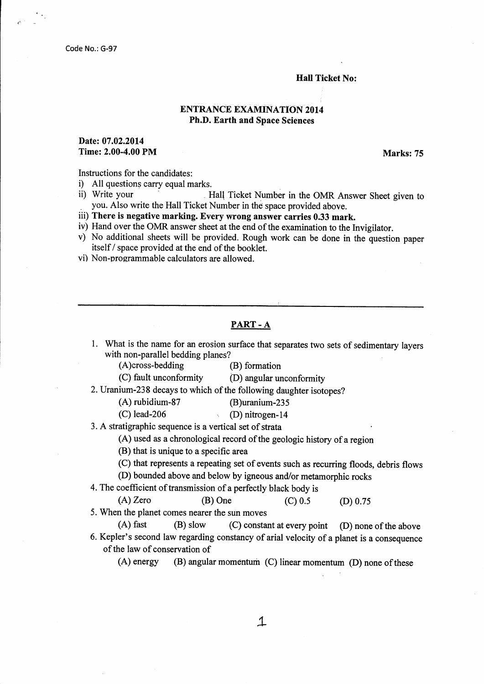Code No.: G-97

## Hall Ticket No:

## ENTRANCE EXAMINATION 2OI4 Ph.D. Earth and Space Sciences

# Date: 07.02.2014 Time: 2.00-4.00 PM Marks: 75

Instructions for the candidates:

i) All questions carry equal marks.<br>ii) Write your

- Hall Ticket Number in the OMR Answer Sheet given to . you. Also write the Hall Ticket Number in the space provided above.
- iii) There is negative marking. Every wrong answer carries 0.33 mark.
- iv) Hand over the OMR answer sheet at the end of the examination to the Invigilator.
- v) No additional sheets will be provided. Rough work can be done in the question paper itself / space provided at the end of the booklet.
- vi) Non-prosrammable calculators are allowed.

#### PART - A

- l. What is the name for an erosion surface that separates two sets of sedimentary layers with non-parallel bedding planes?
	- (A)cross-bedding (B) formation
	- (C) fault unconformity (D) angular unconformity
- 2. Uranium-239 decays to which of the following daughter isotopes?
	- (A) rubidium-87 (B)uranium-235
	- (C) lead-206 (D) nitrogen-14
- 3. A stratigraphic sequence is a vertical set of strata
	- (A) used as a chronological record of the geologic history of a region

(B) that is unique to a specific area

- (C) that represents a repeating set of events such as recurring floods, debris flows
- (D) bounded above and below by igneous and/or metamorphic rocks
- 4. The coefficient of transmission of a perfectly black body is
	- (A) Zero (B) One (C) 0.5 (D) 0.75
- 5. When the planet comes nearer the sun moves
- (A) fast (B) slow (C) constant at every point (D) none of the above 6. Kepler's second law regarding constancy of arial velocity of a planet is a consequence of the law of conservation of

(A) energy (B) angular momentum (C) linear momentum (D) none of these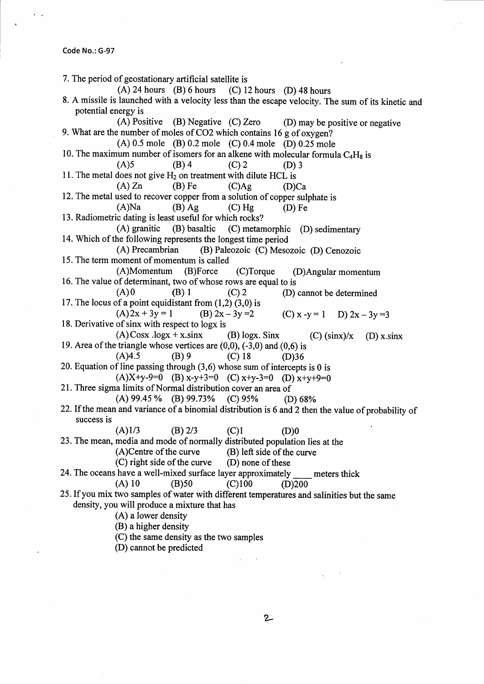7. The period of geostationary artificial satellite is (A) 24 hours (B) 6 hours (C) 12 hours (D) 48 hours 8. A missile is launched with a velocity less than the escape velocity. The sum of its kinetic and potential energy is (A) Positive (B) Negative (C) Zero (D) may be positive or negative 9. What are the number of moles of Co2 which contains 16 g of oxygen? (A) 0.5 mole (B) 0.2 mole (C) 0.4 mole (D) 0.25 mole 10. The maximum number of isomers for an alkene with molecular formula  $C_4H_8$  is (A) 4 (C) 2 (D) 3 11. The metal does not give  $H<sub>2</sub>$  on treatment with dilute HCL is (A)  $Zn$  (B) Fe (C)Ag (D)Ca 12. The metal used to recover copper from a solution of copper sulphate is  $(A)$ Na  $(B)$  Ag  $(C)$  Hg  $(D)$  Fe 13. Radiometric dating is least useful for which rocks? (A) granitic (B) basaltic (C) metamorphic (D) sedimentary 14. Which of the following represents the longest time period (A) Precambrian (B) Paleozoic (C) Mesozoic (D) Cenozoic 15. The term moment of momentum is called (A)Momentum (B)Force (c)Torque (D)Angular momentum 16. The value of determinant, two of whose rows are equal to is  $(A)0$  (B) 1 (C) 2 (D) cannot be determined 17. The locus of a point equidistant from (1,2) (3,0) is  $(A)2x + 3y = 1$  (B)  $2x - 3y = 2$  (C)  $x - y = 1$  D)  $2x - 3y = 3$ 18. Derivative of sinx with respect to logx is (A) Cosx . $\log x$  + x.sinx (B) logx. Sinx (C) (sinx)/x (D) x.sinx 19. Area of the triangle whose vertices are  $(0,0)$ , (-3,0) and  $(0,6)$  is <br>(A)4.5 (B) 9 (C) 18 (D)36 20. Equation of line passing through (3,6) whose sum of intercepts is 0 is (A)X+y-9=0 (B) x-y+3=0 (C) x+y-3=0 (D) x+y+9=0 21. Three sigma limits of Normal distribution cover an area of  $(A)$  99.45 % (B) 99.73% (C) 95% (D) 68% 22. If the mean and variance of a binomial distribution is 6 and 2 then the value of probability of success is (A) $1/3$  (B)  $2/3$  (C) $1$  (D)0 23. The mean, media and mode of normally distributed population lies at the (A)Centre of the curve (B) left side of the curve (B) left side of the curve  $(D)$  none of these  $(C)$  right side of the curve 24. The oceans have a well-mixed surface layer approximately <u>equal</u> meters thick (A) 10 (B)50 (C)100 (D)200 25. If you mix two samples of water with different temperatures and salinities but the same density, you will produce a mixture that has (A) a lower density (B) a higher density (C) the same density as the two samples

(D) cannot be predicted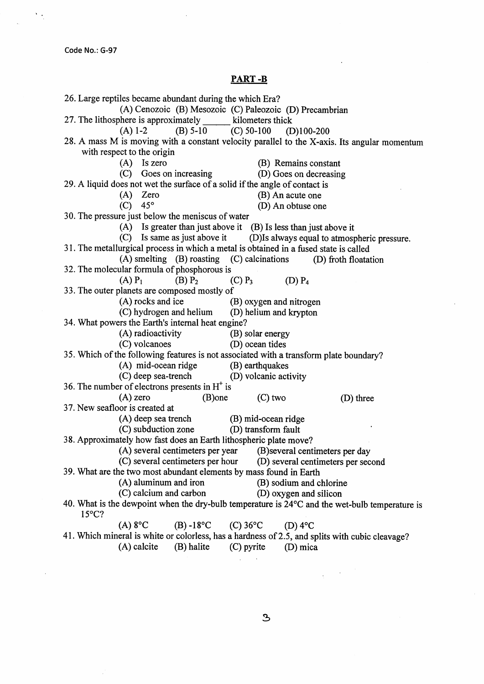Code No.: G-97

 $\frac{1}{2}$  .

÷,

 $\bar{\phantom{a}}$ 

# PART -B

 $\ddot{\phantom{a}}$ 

| 26. Large reptiles became abundant during the which Era?                                        |                         |                                 |                                    |  |  |  |  |  |
|-------------------------------------------------------------------------------------------------|-------------------------|---------------------------------|------------------------------------|--|--|--|--|--|
| (A) Cenozoic (B) Mesozoic (C) Paleozoic (D) Precambrian                                         |                         |                                 |                                    |  |  |  |  |  |
| 27. The lithosphere is approximately kilometers thick                                           |                         |                                 |                                    |  |  |  |  |  |
| (A) 1-2 (B) 5-10 (C) 50-100 (D)100-200                                                          |                         |                                 |                                    |  |  |  |  |  |
| 28. A mass M is moving with a constant velocity parallel to the X-axis. Its angular momentum    |                         |                                 |                                    |  |  |  |  |  |
| with respect to the origin                                                                      |                         |                                 |                                    |  |  |  |  |  |
| $(A)$ Is zero                                                                                   |                         | (B) Remains constant            |                                    |  |  |  |  |  |
| Goes on increasing<br>(C)                                                                       | (D) Goes on decreasing  |                                 |                                    |  |  |  |  |  |
| 29. A liquid does not wet the surface of a solid if the angle of contact is                     |                         |                                 |                                    |  |  |  |  |  |
| $(A)$ Zero                                                                                      | (B) An acute one        |                                 |                                    |  |  |  |  |  |
| $(C)$ 45°                                                                                       | (D) An obtuse one       |                                 |                                    |  |  |  |  |  |
| 30. The pressure just below the meniscus of water                                               |                         |                                 |                                    |  |  |  |  |  |
| $(A)$ Is greater than just above it $(B)$ Is less than just above it                            |                         |                                 |                                    |  |  |  |  |  |
| (C) Is same as just above it (D) Is always equal to atmospheric pressure.                       |                         |                                 |                                    |  |  |  |  |  |
| 31. The metallurgical process in which a metal is obtained in a fused state is called           |                         |                                 |                                    |  |  |  |  |  |
| (A) smelting (B) roasting (C) calcinations (D) froth floatation                                 |                         |                                 |                                    |  |  |  |  |  |
| 32. The molecular formula of phosphorous is                                                     |                         |                                 |                                    |  |  |  |  |  |
| $(A)$ $P_1$<br>$(B)$ $P_2$                                                                      | $(C)$ $P_3$             | $(D)$ $P_4$                     |                                    |  |  |  |  |  |
| 33. The outer planets are composed mostly of                                                    |                         |                                 |                                    |  |  |  |  |  |
| (A) rocks and ice                                                                               | (B) oxygen and nitrogen |                                 |                                    |  |  |  |  |  |
| (C) hydrogen and helium (D) helium and krypton                                                  |                         |                                 |                                    |  |  |  |  |  |
| 34. What powers the Earth's internal heat engine?                                               |                         |                                 |                                    |  |  |  |  |  |
| (A) radioactivity                                                                               | (B) solar energy        |                                 |                                    |  |  |  |  |  |
| (C) volcanoes                                                                                   | (D) ocean tides         |                                 |                                    |  |  |  |  |  |
| 35. Which of the following features is not associated with a transform plate boundary?          |                         |                                 |                                    |  |  |  |  |  |
| (A) mid-ocean ridge                                                                             | (B) earthquakes         |                                 |                                    |  |  |  |  |  |
| (C) deep sea-trench                                                                             | (D) volcanic activity   |                                 |                                    |  |  |  |  |  |
| 36. The number of electrons presents in $H^+$ is                                                |                         |                                 |                                    |  |  |  |  |  |
| $(A)$ zero<br>$(B)$ one                                                                         | $(C)$ two               |                                 | (D) three                          |  |  |  |  |  |
| 37. New seafloor is created at                                                                  |                         |                                 |                                    |  |  |  |  |  |
| (A) deep sea trench (B) mid-ocean ridge                                                         |                         |                                 |                                    |  |  |  |  |  |
| (C) subduction zone (D) transform fault                                                         |                         |                                 |                                    |  |  |  |  |  |
| 38. Approximately how fast does an Earth lithospheric plate move?                               |                         |                                 |                                    |  |  |  |  |  |
| (A) several centimeters per year                                                                |                         | (B) several centimeters per day |                                    |  |  |  |  |  |
| (C) several centimeters per hour                                                                |                         |                                 | (D) several centimeters per second |  |  |  |  |  |
| 39. What are the two most abundant elements by mass found in Earth                              |                         |                                 |                                    |  |  |  |  |  |
| (A) aluminum and iron                                                                           |                         | (B) sodium and chlorine         |                                    |  |  |  |  |  |
| (C) calcium and carbon                                                                          |                         | (D) oxygen and silicon          |                                    |  |  |  |  |  |
| 40. What is the dewpoint when the dry-bulb temperature is 24°C and the wet-bulb temperature is  |                         |                                 |                                    |  |  |  |  |  |
| $15^{\circ}$ C?                                                                                 |                         |                                 |                                    |  |  |  |  |  |
| $(A) 8$ °C<br>$(B) - 18^{\circ}C$                                                               | $(C)$ 36°C              | $(D)$ 4°C                       |                                    |  |  |  |  |  |
| 41. Which mineral is white or colorless, has a hardness of 2.5, and splits with cubic cleavage? |                         |                                 |                                    |  |  |  |  |  |
| $(A)$ calcite<br>(B) halite                                                                     | (C) pyrite              | $(D)$ mica                      |                                    |  |  |  |  |  |

 $\mathcal{A}$ 

 $\hat{\boldsymbol{\beta}}$ 

 $\ddot{\phantom{a}}$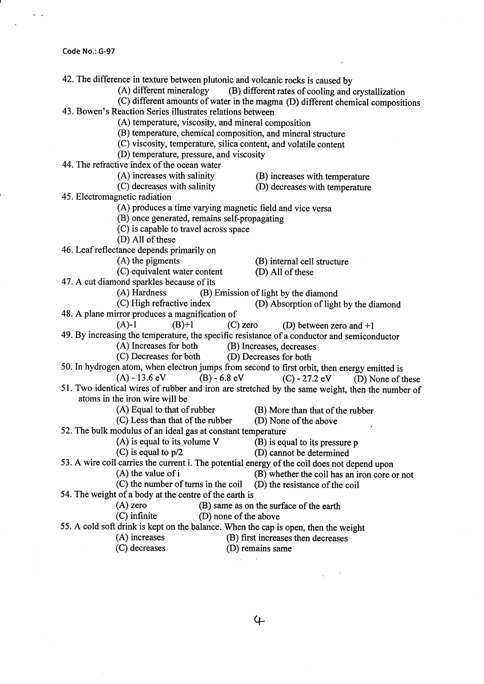42. The difference in texture between plutonic and volcanic rocks is caused by<br>(A) different mineralogy (B) different rates of cooling and

(B) different rates of cooling and crystallization

(C) different amounts of water in the magma (D) different chemical compositions 43. Bowen's Reaction Series illustrates relations between

(A) temperature, viscosity, and mineral composition

- (B) temperature, chemical composition, and mineral structure
- (C) viscosity, temperature, silica content, and volatile content

(D) temperafure, pressure, and viscosity

44.The refractive index of the ocean water

- (A) increases with salinity
- (C) decreases with salinity
- (B) increases with temperature

(D) decreases with temperature

45 . Electromagnetic radiation

(A) produces a time varying magnetic field and vice versa

(B) once generated, remains self-propagating

(C) is capable to travel across space

(D) All of these

46.Leaf reflectance depends primarily on

(A) the pigments

(C) equivalent water content

47. A cut diamond sparkles because of its

(A) Hardness (B) Emission of light by the diamond

(C) High refractive index (D) Absorption of light by the diamond

48. A plane mirror produces a magnification of<br>  $(A)-1$  (B)+1 (C) zero (D) between zero and +1

@) internal cell structure

(D) All of these

49.8y increasing the temperature, the specific resistance of a conductor and semiconductor

(A) Increases for both (B) Increases, decreases

(C) Decreases for both (D) Decreases for both

50. In hydrogen atom, when electron jumps from second to first orbit, then energy emitted is<br>(A) - 13.6 eV (B) - 6.8 eV (C) - 27.2 eV (D) None of t

(A) - 13.6 eV (B) - 6.8 eV (C) - 27.2 eV (D) None of these 51. Two identical wires of rubber and iron are stretched by the same weight, then the number of atoms in the iron wire will be

- 
- $(C)$  Less than that of the rubber
- 

52. The bulk modulus of an ideal gas at constant temperature

(A) is equal to its volume  $V$  (B) is equal to its pressure p<br>(C) is equal to  $p/2$  (D) cannot be determined (D) cannot be determined

53. A wire coil carries the current i. The potential energy of the coil does not depend upon (A) the value of i (B) whether the coil has an iron core of

- (B) whether the coil has an iron core or not
- (C) the number of turns in the coil (D) the resistance of the coil

54. The weight of a body at the centre of the earth is

(A) zero (B) same as on the surface of the earth<br>
(C) infinite (D) none of the above

(D) none of the above

55. A cold soft drink is kept on the balance. When the cap is open, then the weight

(A) increases (B) first increases then decreases

- (C) decreases
- (D) remains same

(A) Equal to that of rubber (B) More than that of the rubber (C) Less than that of the rubber (D) None of the above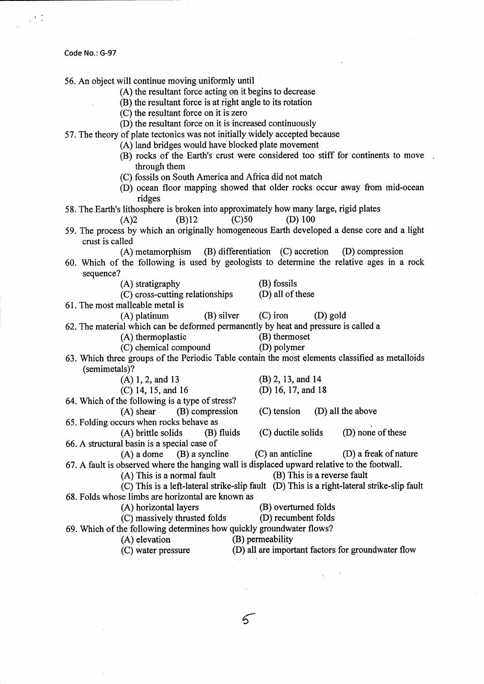Code No.:G-97

56. An object will continue moving uniformly until

- (A) the resultant force acting on it begins to decrease
- (B) the resultant force is at right angle to its rotation
- (C) the resultant force on it is zero
- (D) the resultant force on it is increased continuously

57. The theory of plate tectonics was not initially widely accepted because

- (A) land bridges would have blocked plate movement
- (B) rocks of the Earth's crust were considered too stiff for continents to move through them
- (C) fossils on South America and Africa did not match
- (D) ocean floor mapping showed that older rocks occur away from mid-ocean ridges

58. The Earth's lithosphere is broken into approximately how many large, rigid plates

(A)2 (B)12 (C)50 (D) 100

- 59. The process by which an originally homogeneous Earth developed a dense core and a light crust is called
- (A) metamorphism (B) differentiation (C) accretion (D) compression 60. Which of the following is used by geologists to determine the relative ages in a rock sequence?

(A) stratigraphy  $(B)$  fossils<br>
(C) cross-cutting relationships  $(D)$  all of these  $(C)$  cross-cutting relationships

61 . The most malleable metal is

(A) platinum (B) silver (C) iron (D) gold 62.The material which can be deformed pennanently by heat and pressure is called a

(A) thermoplastic (B) thermoset<br>
(C) chemical compound (D) polymer (C) chemical compound

63. Which three groups of the Periodic Table contain the most elements classified as metalloids (semimetals)?

(A) 1, 2, and 13 (B) 2, 13, and 14<br>(C) 14, 15, and 16 (D) 16, 17, and 18

- (C) 14, 15, and 16
- 64. Which of the following is a type of stress?
- (A) shear (B) compression (C) tension (D) all the above 65. Folding occurs when rocks behave as
- $(A)$  brittle solids  $(B)$  fluids  $(C)$  ductile solids  $(D)$  none of these
	-
- 66. A structural basin is a special case of<br>(A) a dome (B) a syncline  $(A)$  a dome  $(B)$  a syncline  $(C)$  an anticline  $(D)$  a freak of nature
- 67. A fault is observed where the hanging wall is displaced upward relative to the footwall.
	- (A) This is a normal fault (B) This is a reverse fault

(C) This is a left-lateral strike-slip fault (D) This is a right-lateral strike-slip fault

68. Folds whose limbs are horizontal are known as (A) horizontal layers (B) overturned folds

(C) massively thrusted folds (D) recumbent folds

69. Which of the following determines how quickly groundwater flows?

(A) elevation (B) permeability<br>(C) water pressure (D) all are impor (D) all are important factors for groundwater flow

 $\mathfrak{c}$